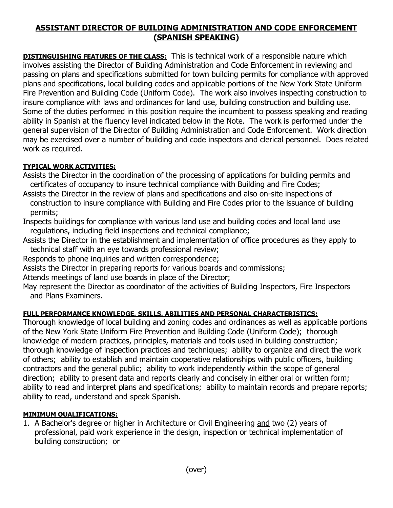# **ASSISTANT DIRECTOR OF BUILDING ADMINISTRATION AND CODE ENFORCEMENT (SPANISH SPEAKING)**

**DISTINGUISHING FEATURES OF THE CLASS:** This is technical work of a responsible nature which involves assisting the Director of Building Administration and Code Enforcement in reviewing and passing on plans and specifications submitted for town building permits for compliance with approved plans and specifications, local building codes and applicable portions of the New York State Uniform Fire Prevention and Building Code (Uniform Code). The work also involves inspecting construction to insure compliance with laws and ordinances for land use, building construction and building use. Some of the duties performed in this position require the incumbent to possess speaking and reading ability in Spanish at the fluency level indicated below in the Note. The work is performed under the general supervision of the Director of Building Administration and Code Enforcement. Work direction may be exercised over a number of building and code inspectors and clerical personnel. Does related work as required.

### **TYPICAL WORK ACTIVITIES:**

Assists the Director in the coordination of the processing of applications for building permits and certificates of occupancy to insure technical compliance with Building and Fire Codes;

Assists the Director in the review of plans and specifications and also on-site inspections of construction to insure compliance with Building and Fire Codes prior to the issuance of building permits;

Inspects buildings for compliance with various land use and building codes and local land use regulations, including field inspections and technical compliance;

Assists the Director in the establishment and implementation of office procedures as they apply to technical staff with an eye towards professional review;

Responds to phone inquiries and written correspondence;

Assists the Director in preparing reports for various boards and commissions;

Attends meetings of land use boards in place of the Director;

May represent the Director as coordinator of the activities of Building Inspectors, Fire Inspectors and Plans Examiners.

# **FULL PERFORMANCE KNOWLEDGE, SKILLS, ABILITIES AND PERSONAL CHARACTERISTICS:**

Thorough knowledge of local building and zoning codes and ordinances as well as applicable portions of the New York State Uniform Fire Prevention and Building Code (Uniform Code); thorough knowledge of modern practices, principles, materials and tools used in building construction; thorough knowledge of inspection practices and techniques; ability to organize and direct the work of others; ability to establish and maintain cooperative relationships with public officers, building contractors and the general public; ability to work independently within the scope of general direction; ability to present data and reports clearly and concisely in either oral or written form; ability to read and interpret plans and specifications; ability to maintain records and prepare reports; ability to read, understand and speak Spanish.

#### **MINIMUM QUALIFICATIONS:**

1. A Bachelor's degree or higher in Architecture or Civil Engineering and two (2) years of professional, paid work experience in the design, inspection or technical implementation of building construction; or